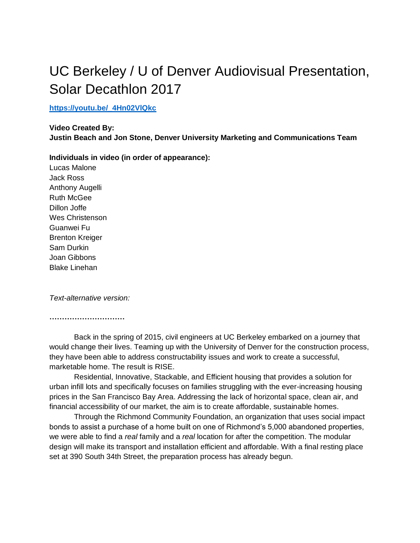## UC Berkeley / U of Denver Audiovisual Presentation, Solar Decathlon 2017

## **[https://youtu.be/\\_4Hn02VlQkc](https://youtu.be/_4Hn02VlQkc)**

**Video Created By: Justin Beach and Jon Stone, Denver University Marketing and Communications Team**

**Individuals in video (in order of appearance):**

Lucas Malone Jack Ross Anthony Augelli Ruth McGee Dillon Joffe Wes Christenson Guanwei Fu Brenton Kreiger Sam Durkin Joan Gibbons Blake Linehan

*Text-alternative version:* 

**…………………………** 

Back in the spring of 2015, civil engineers at UC Berkeley embarked on a journey that would change their lives. Teaming up with the University of Denver for the construction process, they have been able to address constructability issues and work to create a successful, marketable home. The result is RISE.

Residential, Innovative, Stackable, and Efficient housing that provides a solution for urban infill lots and specifically focuses on families struggling with the ever-increasing housing prices in the San Francisco Bay Area. Addressing the lack of horizontal space, clean air, and financial accessibility of our market, the aim is to create affordable, sustainable homes.

Through the Richmond Community Foundation, an organization that uses social impact bonds to assist a purchase of a home built on one of Richmond's 5,000 abandoned properties, we were able to find a *real* family and a *real* location for after the competition. The modular design will make its transport and installation efficient and affordable. With a final resting place set at 390 South 34th Street, the preparation process has already begun.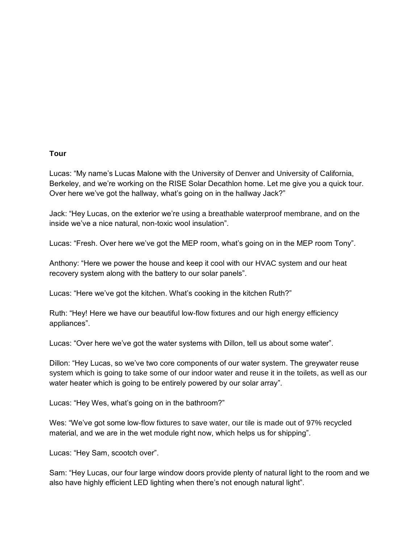## **Tour**

Lucas: "My name's Lucas Malone with the University of Denver and University of California, Berkeley, and we're working on the RISE Solar Decathlon home. Let me give you a quick tour. Over here we've got the hallway, what's going on in the hallway Jack?"

Jack: "Hey Lucas, on the exterior we're using a breathable waterproof membrane, and on the inside we've a nice natural, non-toxic wool insulation".

Lucas: "Fresh. Over here we've got the MEP room, what's going on in the MEP room Tony".

Anthony: "Here we power the house and keep it cool with our HVAC system and our heat recovery system along with the battery to our solar panels".

Lucas: "Here we've got the kitchen. What's cooking in the kitchen Ruth?"

Ruth: "Hey! Here we have our beautiful low-flow fixtures and our high energy efficiency appliances".

Lucas: "Over here we've got the water systems with Dillon, tell us about some water".

Dillon: "Hey Lucas, so we've two core components of our water system. The greywater reuse system which is going to take some of our indoor water and reuse it in the toilets, as well as our water heater which is going to be entirely powered by our solar array".

Lucas: "Hey Wes, what's going on in the bathroom?"

Wes: "We've got some low-flow fixtures to save water, our tile is made out of 97% recycled material, and we are in the wet module right now, which helps us for shipping".

Lucas: "Hey Sam, scootch over".

Sam: "Hey Lucas, our four large window doors provide plenty of natural light to the room and we also have highly efficient LED lighting when there's not enough natural light".